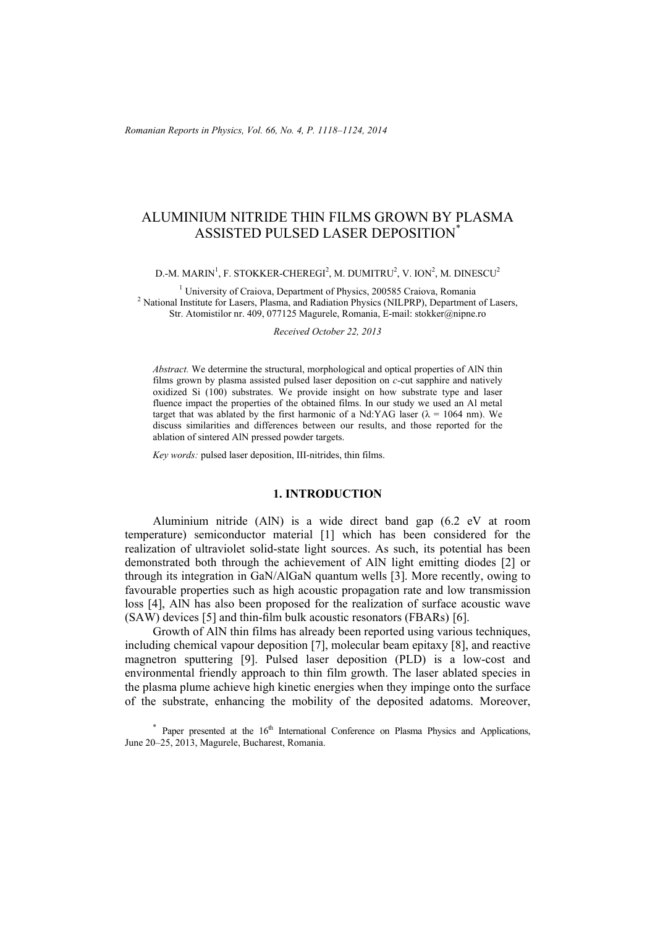# ALUMINIUM NITRIDE THIN FILMS GROWN BY PLASMA ASSISTED PULSED LASER DEPOSITION\*

D.-M. MARIN $^1$ , F. STOKKER-CHEREGI $^2$ , M. DUMITRU $^2$ , V. ION $^2$ , M. DINESCU $^2$ 

<sup>1</sup> University of Craiova, Department of Physics, 200585 Craiova, Romania<br><sup>2</sup> Netional Institute for Lasers, Plasma and Radiation Physics (NIL PRP). Department <sup>2</sup> National Institute for Lasers, Plasma, and Radiation Physics (NILPRP), Department of Lasers, Str. Atomistilor nr. 409, 077125 Magurele, Romania, E-mail: stokker@nipne.ro

*Received October 22, 2013* 

*Abstract.* We determine the structural, morphological and optical properties of AlN thin films grown by plasma assisted pulsed laser deposition on *c-*cut sapphire and natively oxidized Si (100) substrates. We provide insight on how substrate type and laser fluence impact the properties of the obtained films. In our study we used an Al metal target that was ablated by the first harmonic of a Nd:YAG laser ( $\lambda$  = 1064 nm). We discuss similarities and differences between our results, and those reported for the ablation of sintered AlN pressed powder targets.

*Key words:* pulsed laser deposition, III-nitrides, thin films.

### **1. INTRODUCTION**

Aluminium nitride (AlN) is a wide direct band gap (6.2 eV at room temperature) semiconductor material [1] which has been considered for the realization of ultraviolet solid-state light sources. As such, its potential has been demonstrated both through the achievement of AlN light emitting diodes [2] or through its integration in GaN/AlGaN quantum wells [3]. More recently, owing to favourable properties such as high acoustic propagation rate and low transmission loss [4], AlN has also been proposed for the realization of surface acoustic wave (SAW) devices [5] and thin-film bulk acoustic resonators (FBARs) [6].

Growth of AlN thin films has already been reported using various techniques, including chemical vapour deposition [7], molecular beam epitaxy [8], and reactive magnetron sputtering [9]. Pulsed laser deposition (PLD) is a low-cost and environmental friendly approach to thin film growth. The laser ablated species in the plasma plume achieve high kinetic energies when they impinge onto the surface of the substrate, enhancing the mobility of the deposited adatoms. Moreover,

 $*$  Paper presented at the  $16<sup>th</sup>$  International Conference on Plasma Physics and Applications, June 20–25, 2013, Magurele, Bucharest, Romania.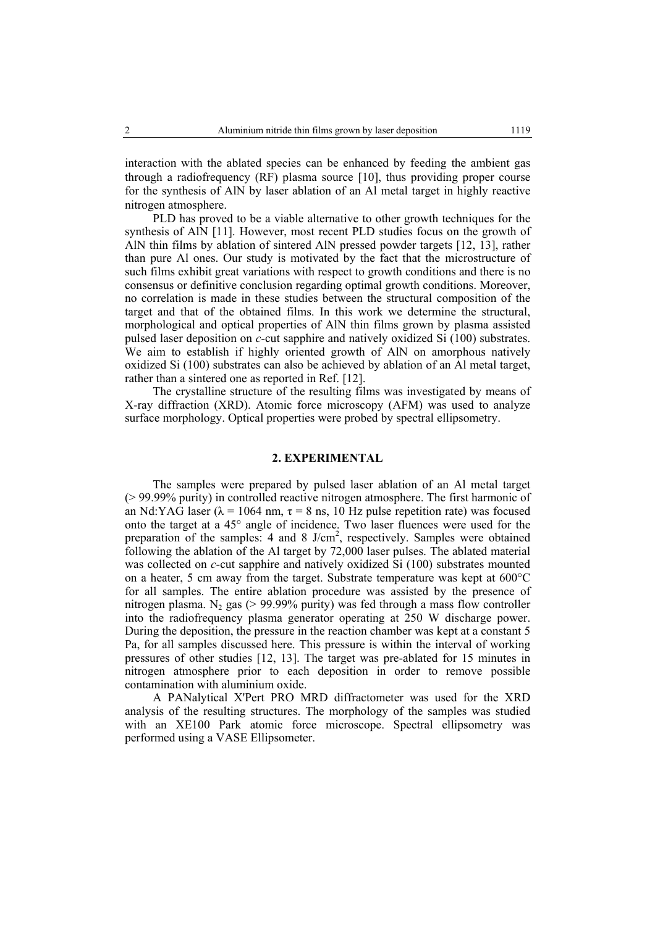interaction with the ablated species can be enhanced by feeding the ambient gas through a radiofrequency (RF) plasma source [10], thus providing proper course for the synthesis of AlN by laser ablation of an Al metal target in highly reactive nitrogen atmosphere.

PLD has proved to be a viable alternative to other growth techniques for the synthesis of AlN [11]. However, most recent PLD studies focus on the growth of AlN thin films by ablation of sintered AlN pressed powder targets [12, 13], rather than pure Al ones. Our study is motivated by the fact that the microstructure of such films exhibit great variations with respect to growth conditions and there is no consensus or definitive conclusion regarding optimal growth conditions. Moreover, no correlation is made in these studies between the structural composition of the target and that of the obtained films. In this work we determine the structural, morphological and optical properties of AlN thin films grown by plasma assisted pulsed laser deposition on *c-*cut sapphire and natively oxidized Si (100) substrates. We aim to establish if highly oriented growth of AlN on amorphous natively oxidized Si (100) substrates can also be achieved by ablation of an Al metal target, rather than a sintered one as reported in Ref. [12].

The crystalline structure of the resulting films was investigated by means of X-ray diffraction (XRD). Atomic force microscopy (AFM) was used to analyze surface morphology. Optical properties were probed by spectral ellipsometry.

### **2. EXPERIMENTAL**

 The samples were prepared by pulsed laser ablation of an Al metal target (> 99.99% purity) in controlled reactive nitrogen atmosphere. The first harmonic of an Nd:YAG laser ( $\lambda$  = 1064 nm,  $\tau$  = 8 ns, 10 Hz pulse repetition rate) was focused onto the target at a 45° angle of incidence. Two laser fluences were used for the preparation of the samples: 4 and 8 J/cm<sup>2</sup>, respectively. Samples were obtained following the ablation of the Al target by 72,000 laser pulses. The ablated material was collected on *c*-cut sapphire and natively oxidized Si (100) substrates mounted on a heater, 5 cm away from the target. Substrate temperature was kept at 600°C for all samples. The entire ablation procedure was assisted by the presence of nitrogen plasma. N<sub>2</sub> gas ( $> 99.99\%$  purity) was fed through a mass flow controller into the radiofrequency plasma generator operating at 250 W discharge power. During the deposition, the pressure in the reaction chamber was kept at a constant 5 Pa, for all samples discussed here. This pressure is within the interval of working pressures of other studies [12, 13]. The target was pre-ablated for 15 minutes in nitrogen atmosphere prior to each deposition in order to remove possible contamination with aluminium oxide.

 A PANalytical X'Pert PRO MRD diffractometer was used for the XRD analysis of the resulting structures. The morphology of the samples was studied with an XE100 Park atomic force microscope. Spectral ellipsometry was performed using a VASE Ellipsometer.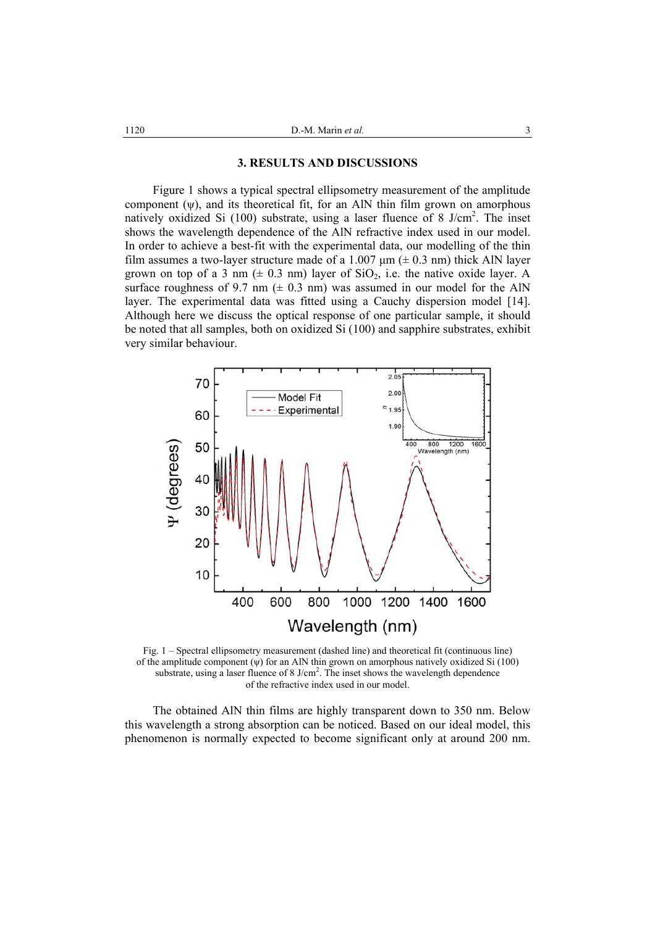#### **3. RESULTS AND DISCUSSIONS**

 Figure 1 shows a typical spectral ellipsometry measurement of the amplitude component  $(\psi)$ , and its theoretical fit, for an AlN thin film grown on amorphous natively oxidized Si (100) substrate, using a laser fluence of 8 J/cm<sup>2</sup>. The inset shows the wavelength dependence of the AlN refractive index used in our model. In order to achieve a best-fit with the experimental data, our modelling of the thin film assumes a two-layer structure made of a 1.007  $\mu$ m ( $\pm$  0.3 nm) thick AlN layer grown on top of a 3 nm ( $\pm$  0.3 nm) layer of SiO<sub>2</sub>, i.e. the native oxide layer. A surface roughness of 9.7 nm ( $\pm$  0.3 nm) was assumed in our model for the AlN layer. The experimental data was fitted using a Cauchy dispersion model [14]. Although here we discuss the optical response of one particular sample, it should be noted that all samples, both on oxidized Si (100) and sapphire substrates, exhibit very similar behaviour.



Fig. 1 – Spectral ellipsometry measurement (dashed line) and theoretical fit (continuous line) of the amplitude component (ψ) for an AlN thin grown on amorphous natively oxidized Si (100) substrate, using a laser fluence of 8 J/cm<sup>2</sup>. The inset shows the wavelength dependence of the refractive index used in our model.

 The obtained AlN thin films are highly transparent down to 350 nm. Below this wavelength a strong absorption can be noticed. Based on our ideal model, this phenomenon is normally expected to become significant only at around 200 nm.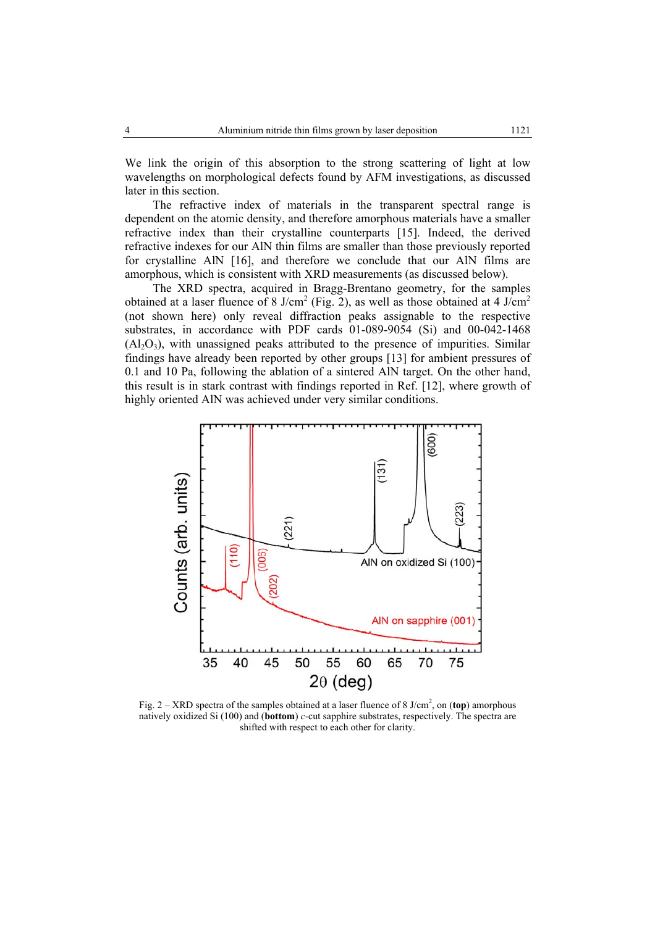We link the origin of this absorption to the strong scattering of light at low wavelengths on morphological defects found by AFM investigations, as discussed later in this section.

 The refractive index of materials in the transparent spectral range is dependent on the atomic density, and therefore amorphous materials have a smaller refractive index than their crystalline counterparts [15]. Indeed, the derived refractive indexes for our AlN thin films are smaller than those previously reported for crystalline AlN [16], and therefore we conclude that our AlN films are amorphous, which is consistent with XRD measurements (as discussed below).

 The XRD spectra, acquired in Bragg-Brentano geometry, for the samples obtained at a laser fluence of 8 J/cm<sup>2</sup> (Fig. 2), as well as those obtained at 4 J/cm<sup>2</sup> (not shown here) only reveal diffraction peaks assignable to the respective substrates, in accordance with PDF cards 01-089-9054 (Si) and 00-042-1468  $(A<sub>1</sub>, O<sub>3</sub>)$ , with unassigned peaks attributed to the presence of impurities. Similar findings have already been reported by other groups [13] for ambient pressures of 0.1 and 10 Pa, following the ablation of a sintered AlN target. On the other hand, this result is in stark contrast with findings reported in Ref. [12], where growth of highly oriented AlN was achieved under very similar conditions.



Fig. 2 – XRD spectra of the samples obtained at a laser fluence of 8 J/cm2 , on (**top**) amorphous natively oxidized Si (100) and (**bottom**) *c*-cut sapphire substrates, respectively. The spectra are shifted with respect to each other for clarity.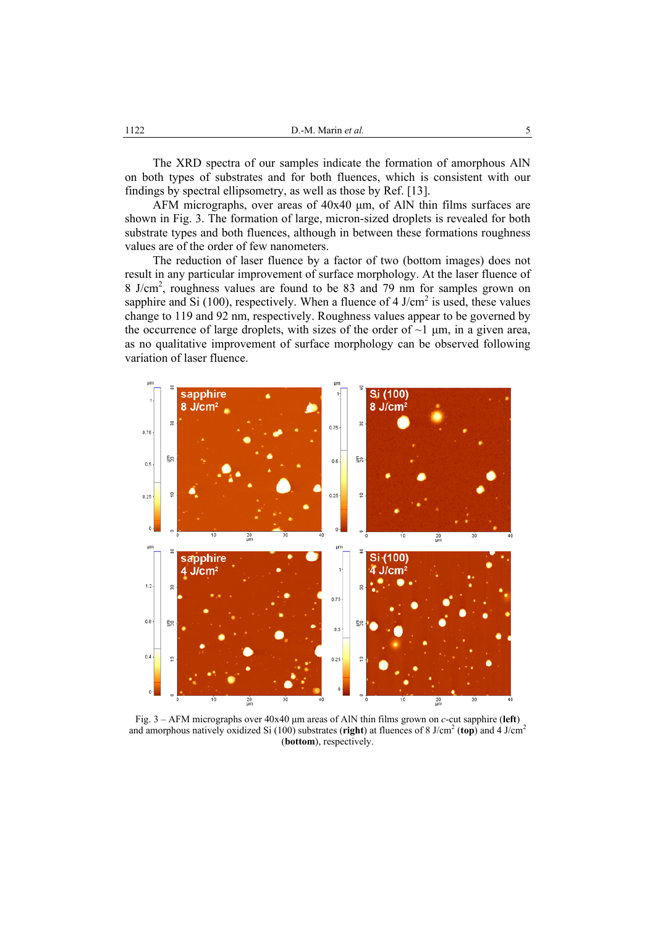The XRD spectra of our samples indicate the formation of amorphous AlN on both types of substrates and for both fluences, which is consistent with our findings by spectral ellipsometry, as well as those by Ref. [13].

AFM micrographs, over areas of 40x40 µm, of AlN thin films surfaces are shown in Fig. 3. The formation of large, micron-sized droplets is revealed for both substrate types and both fluences, although in between these formations roughness values are of the order of few nanometers.

 The reduction of laser fluence by a factor of two (bottom images) does not result in any particular improvement of surface morphology. At the laser fluence of 8 J/cm<sup>2</sup>, roughness values are found to be 83 and 79 nm for samples grown on sapphire and Si (100), respectively. When a fluence of 4 J/cm<sup>2</sup> is used, these values change to 119 and 92 nm, respectively. Roughness values appear to be governed by the occurrence of large droplets, with sizes of the order of  $\sim$ 1  $\mu$ m, in a given area, as no qualitative improvement of surface morphology can be observed following variation of laser fluence.



Fig. 3 – AFM micrographs over 40x40 µm areas of AlN thin films grown on *c*-cut sapphire (**left**) and amorphous natively oxidized Si (100) substrates (right) at fluences of 8 J/cm<sup>2</sup> (top) and 4 J/cm<sup>2</sup> (**bottom**), respectively.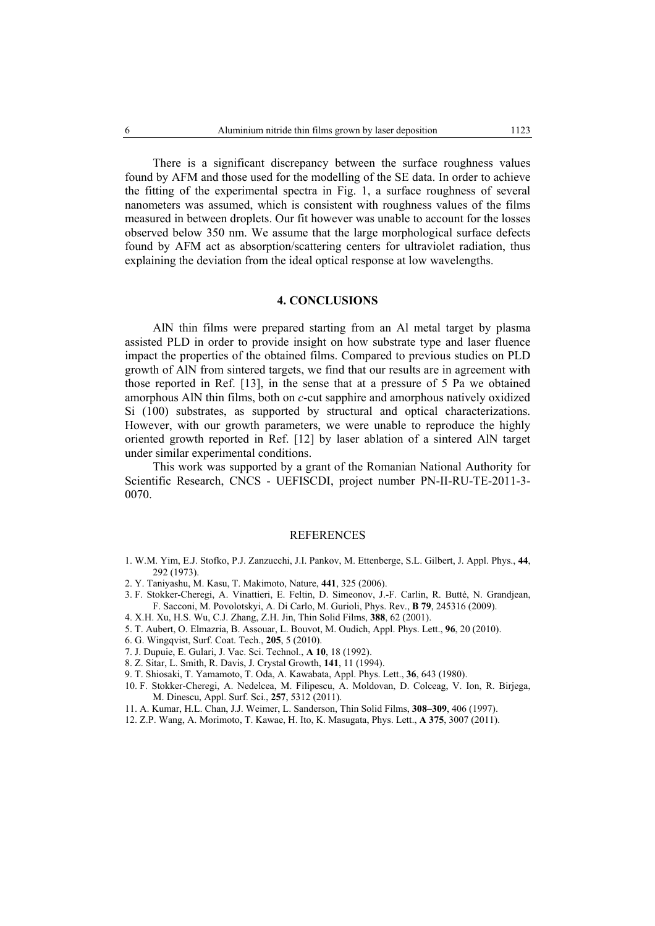There is a significant discrepancy between the surface roughness values found by AFM and those used for the modelling of the SE data. In order to achieve the fitting of the experimental spectra in Fig. 1, a surface roughness of several nanometers was assumed, which is consistent with roughness values of the films measured in between droplets. Our fit however was unable to account for the losses observed below 350 nm. We assume that the large morphological surface defects found by AFM act as absorption/scattering centers for ultraviolet radiation, thus explaining the deviation from the ideal optical response at low wavelengths.

## **4. CONCLUSIONS**

 AlN thin films were prepared starting from an Al metal target by plasma assisted PLD in order to provide insight on how substrate type and laser fluence impact the properties of the obtained films. Compared to previous studies on PLD growth of AlN from sintered targets, we find that our results are in agreement with those reported in Ref. [13], in the sense that at a pressure of 5 Pa we obtained amorphous AlN thin films, both on *c*-cut sapphire and amorphous natively oxidized Si (100) substrates, as supported by structural and optical characterizations. However, with our growth parameters, we were unable to reproduce the highly oriented growth reported in Ref. [12] by laser ablation of a sintered AlN target under similar experimental conditions.

 This work was supported by a grant of the Romanian National Authority for Scientific Research, CNCS - UEFISCDI, project number PN-II-RU-TE-2011-3- 0070.

#### REFERENCES

- 1. W.M. Yim, E.J. Stofko, P.J. Zanzucchi, J.I. Pankov, M. Ettenberge, S.L. Gilbert, J. Appl. Phys., **44**, 292 (1973).
- 2. Y. Taniyashu, M. Kasu, T. Makimoto, Nature, **441**, 325 (2006).
- 3. F. Stokker-Cheregi, A. Vinattieri, E. Feltin, D. Simeonov, J.-F. Carlin, R. Butté, N. Grandjean, F. Sacconi, M. Povolotskyi, A. Di Carlo, M. Gurioli, Phys. Rev., **B 79**, 245316 (2009).
- 4. X.H. Xu, H.S. Wu, C.J. Zhang, Z.H. Jin, Thin Solid Films, **388**, 62 (2001).
- 5. T. Aubert, O. Elmazria, B. Assouar, L. Bouvot, M. Oudich, Appl. Phys. Lett., **96**, 20 (2010).
- 6. G. Wingqvist, Surf. Coat. Tech., **205**, 5 (2010).
- 7. J. Dupuie, E. Gulari, J. Vac. Sci. Technol., **A 10**, 18 (1992).
- 8. Z. Sitar, L. Smith, R. Davis, J. Crystal Growth, **141**, 11 (1994).
- 9. T. Shiosaki, T. Yamamoto, T. Oda, A. Kawabata, Appl. Phys. Lett., **36**, 643 (1980).
- 10. F. Stokker-Cheregi, A. Nedelcea, M. Filipescu, A. Moldovan, D. Colceag, V. Ion, R. Birjega, M. Dinescu, Appl. Surf. Sci., **257**, 5312 (2011).
- 11. A. Kumar, H.L. Chan, J.J. Weimer, L. Sanderson, Thin Solid Films, **308–309**, 406 (1997).
- 12. Z.P. Wang, A. Morimoto, T. Kawae, H. Ito, K. Masugata, Phys. Lett., **A 375**, 3007 (2011).